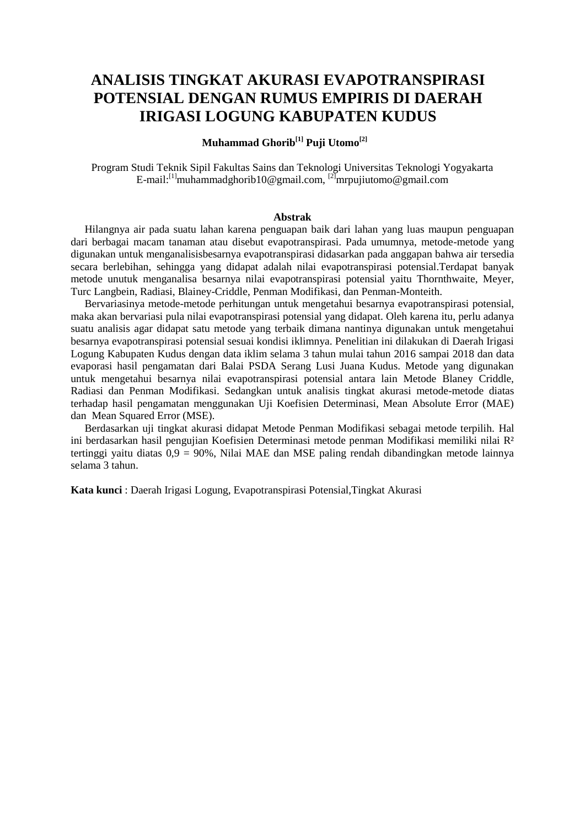# **ANALISIS TINGKAT AKURASI EVAPOTRANSPIRASI POTENSIAL DENGAN RUMUS EMPIRIS DI DAERAH IRIGASI LOGUNG KABUPATEN KUDUS**

## **Muhammad Ghorib[1] Puji Utomo[2]**

Program Studi Teknik Sipil Fakultas Sains dan Teknologi Universitas Teknologi Yogyakarta E-mail:<sup>[1]</sup>muhammadghorib10@gmail.com,  $^{[2]}$ mrpujiutomo@gmail.com

#### **Abstrak**

Hilangnya air pada suatu lahan karena penguapan baik dari lahan yang luas maupun penguapan dari berbagai macam tanaman atau disebut evapotranspirasi. Pada umumnya, metode-metode yang digunakan untuk menganalisisbesarnya evapotranspirasi didasarkan pada anggapan bahwa air tersedia secara berlebihan, sehingga yang didapat adalah nilai evapotranspirasi potensial.Terdapat banyak metode unutuk menganalisa besarnya nilai evapotranspirasi potensial yaitu Thornthwaite, Meyer, Turc Langbein, Radiasi, Blainey-Criddle, Penman Modifikasi, dan Penman-Monteith.

Bervariasinya metode-metode perhitungan untuk mengetahui besarnya evapotranspirasi potensial, maka akan bervariasi pula nilai evapotranspirasi potensial yang didapat. Oleh karena itu, perlu adanya suatu analisis agar didapat satu metode yang terbaik dimana nantinya digunakan untuk mengetahui besarnya evapotranspirasi potensial sesuai kondisi iklimnya. Penelitian ini dilakukan di Daerah Irigasi Logung Kabupaten Kudus dengan data iklim selama 3 tahun mulai tahun 2016 sampai 2018 dan data evaporasi hasil pengamatan dari Balai PSDA Serang Lusi Juana Kudus. Metode yang digunakan untuk mengetahui besarnya nilai evapotranspirasi potensial antara lain Metode Blaney Criddle, Radiasi dan Penman Modifikasi. Sedangkan untuk analisis tingkat akurasi metode-metode diatas terhadap hasil pengamatan menggunakan Uji Koefisien Determinasi, Mean Absolute Error (MAE) dan Mean Squared Error (MSE).

Berdasarkan uji tingkat akurasi didapat Metode Penman Modifikasi sebagai metode terpilih. Hal ini berdasarkan hasil pengujian Koefisien Determinasi metode penman Modifikasi memiliki nilai R² tertinggi yaitu diatas 0,9 = 90%, Nilai MAE dan MSE paling rendah dibandingkan metode lainnya selama 3 tahun.

**Kata kunci** : Daerah Irigasi Logung, Evapotranspirasi Potensial,Tingkat Akurasi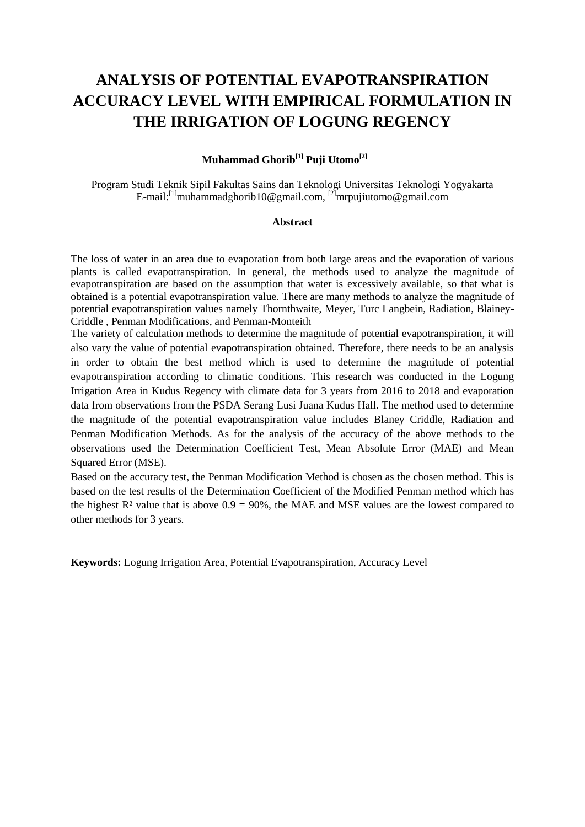# **ANALYSIS OF POTENTIAL EVAPOTRANSPIRATION ACCURACY LEVEL WITH EMPIRICAL FORMULATION IN THE IRRIGATION OF LOGUNG REGENCY**

### **Muhammad Ghorib[1] Puji Utomo[2]**

Program Studi Teknik Sipil Fakultas Sains dan Teknologi Universitas Teknologi Yogyakarta E-mail:<sup>[1]</sup>muhammadghorib10@gmail.com, <sup>[2]</sup>mrpujiutomo@gmail.com

#### **Abstract**

The loss of water in an area due to evaporation from both large areas and the evaporation of various plants is called evapotranspiration. In general, the methods used to analyze the magnitude of evapotranspiration are based on the assumption that water is excessively available, so that what is obtained is a potential evapotranspiration value. There are many methods to analyze the magnitude of potential evapotranspiration values namely Thornthwaite, Meyer, Turc Langbein, Radiation, Blainey-Criddle , Penman Modifications, and Penman-Monteith

The variety of calculation methods to determine the magnitude of potential evapotranspiration, it will also vary the value of potential evapotranspiration obtained. Therefore, there needs to be an analysis in order to obtain the best method which is used to determine the magnitude of potential evapotranspiration according to climatic conditions. This research was conducted in the Logung Irrigation Area in Kudus Regency with climate data for 3 years from 2016 to 2018 and evaporation data from observations from the PSDA Serang Lusi Juana Kudus Hall. The method used to determine the magnitude of the potential evapotranspiration value includes Blaney Criddle, Radiation and Penman Modification Methods. As for the analysis of the accuracy of the above methods to the observations used the Determination Coefficient Test, Mean Absolute Error (MAE) and Mean Squared Error (MSE).

Based on the accuracy test, the Penman Modification Method is chosen as the chosen method. This is based on the test results of the Determination Coefficient of the Modified Penman method which has the highest  $\mathbb{R}^2$  value that is above  $0.9 = 90\%$ , the MAE and MSE values are the lowest compared to other methods for 3 years.

**Keywords:** Logung Irrigation Area, Potential Evapotranspiration, Accuracy Level